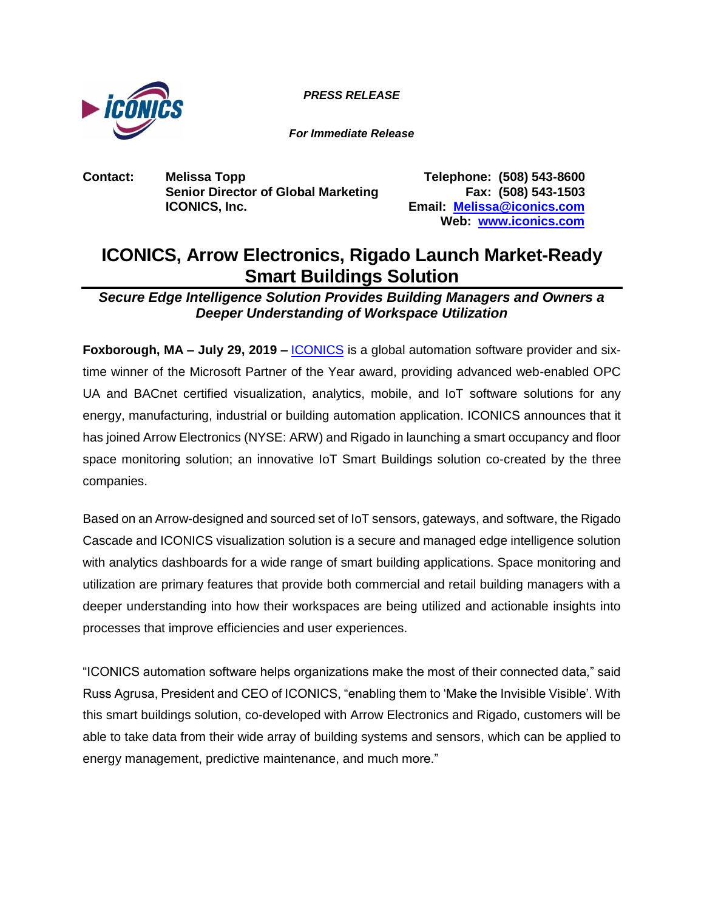*PRESS RELEASE*



*For Immediate Release*

**Contact: Melissa Topp Telephone: (508) 543-8600 Senior Director of Global Marketing Fax: (508) 543-1503 ICONICS, Inc. Email: [Melissa@iconics.com](mailto:Melissa@iconics.com)**

**Web: [www.iconics.com](https://iconics.com/)**

# **ICONICS, Arrow Electronics, Rigado Launch Market-Ready Smart Buildings Solution**

*Secure Edge Intelligence Solution Provides Building Managers and Owners a Deeper Understanding of Workspace Utilization*

**Foxborough, MA – July 29, 2019 –** [ICONICS](https://iconics.com/) is a global automation software provider and sixtime winner of the Microsoft Partner of the Year award, providing advanced web-enabled OPC UA and BACnet certified visualization, analytics, mobile, and IoT software solutions for any energy, manufacturing, industrial or building automation application. ICONICS announces that it has joined Arrow Electronics (NYSE: ARW) and Rigado in launching a smart occupancy and floor space monitoring solution; an innovative IoT Smart Buildings solution co-created by the three companies.

Based on an Arrow-designed and sourced set of IoT sensors, gateways, and software, the Rigado Cascade and ICONICS visualization solution is a secure and managed edge intelligence solution with analytics dashboards for a wide range of smart building applications. Space monitoring and utilization are primary features that provide both commercial and retail building managers with a deeper understanding into how their workspaces are being utilized and actionable insights into processes that improve efficiencies and user experiences.

"ICONICS automation software helps organizations make the most of their connected data," said Russ Agrusa, President and CEO of ICONICS, "enabling them to 'Make the Invisible Visible'. With this smart buildings solution, co-developed with Arrow Electronics and Rigado, customers will be able to take data from their wide array of building systems and sensors, which can be applied to energy management, predictive maintenance, and much more."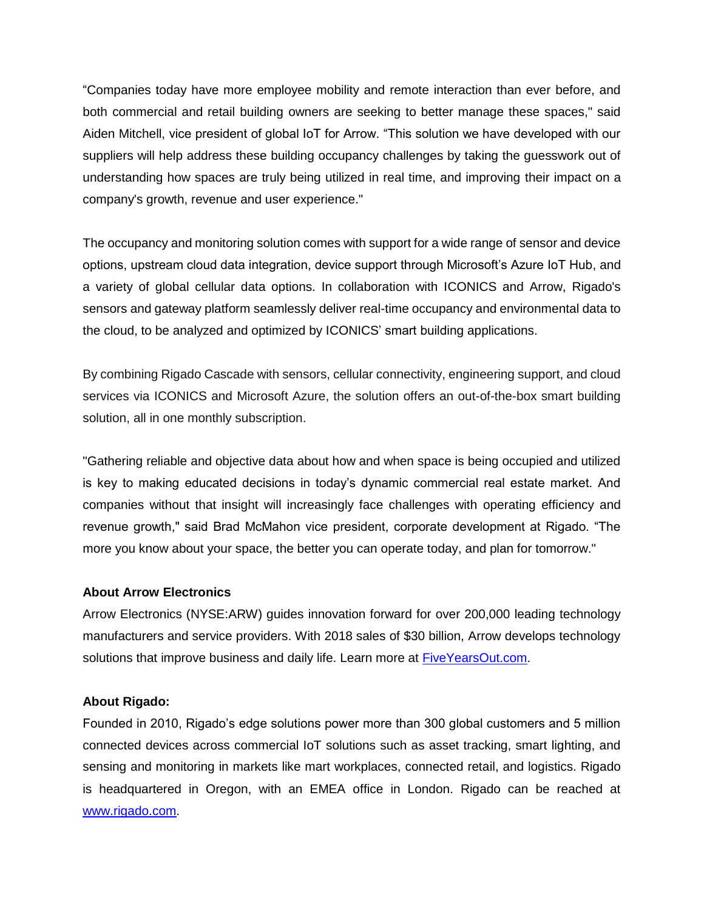"Companies today have more employee mobility and remote interaction than ever before, and both commercial and retail building owners are seeking to better manage these spaces," said Aiden Mitchell, vice president of global IoT for Arrow. "This solution we have developed with our suppliers will help address these building occupancy challenges by taking the guesswork out of understanding how spaces are truly being utilized in real time, and improving their impact on a company's growth, revenue and user experience."

The occupancy and monitoring solution comes with support for a wide range of sensor and device options, upstream cloud data integration, device support through Microsoft's Azure IoT Hub, and a variety of global cellular data options. In collaboration with ICONICS and Arrow, Rigado's sensors and gateway platform seamlessly deliver real-time occupancy and environmental data to the cloud, to be analyzed and optimized by ICONICS' smart building applications.

By combining Rigado Cascade with sensors, cellular connectivity, engineering support, and cloud services via ICONICS and Microsoft Azure, the solution offers an out-of-the-box smart building solution, all in one monthly subscription.

"Gathering reliable and objective data about how and when space is being occupied and utilized is key to making educated decisions in today's dynamic commercial real estate market. And companies without that insight will increasingly face challenges with operating efficiency and revenue growth," said Brad McMahon vice president, corporate development at Rigado. "The more you know about your space, the better you can operate today, and plan for tomorrow."

## **About Arrow Electronics**

Arrow Electronics (NYSE:ARW) guides innovation forward for over 200,000 leading technology manufacturers and service providers. With 2018 sales of \$30 billion, Arrow develops technology solutions that improve business and daily life. Learn more at [FiveYearsOut.com.](https://www.fiveyearsout.com/)

### **About Rigado:**

Founded in 2010, Rigado's edge solutions power more than 300 global customers and 5 million connected devices across commercial IoT solutions such as asset tracking, smart lighting, and sensing and monitoring in markets like mart workplaces, connected retail, and logistics. Rigado is headquartered in Oregon, with an EMEA office in London. Rigado can be reached at [www.rigado.com.](http://www.rigado.com/)